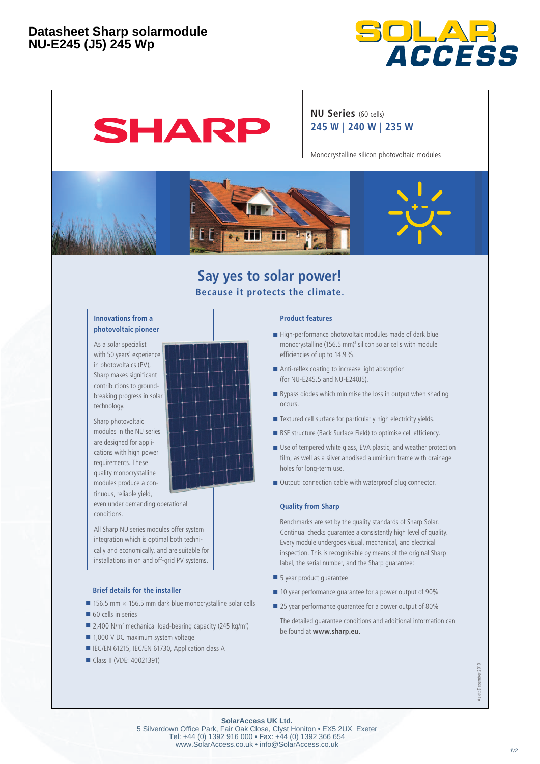

# SHARP

### **NU Series** (60 cells) **245 W | 240 W | 235 W**

Monocrystalline silicon photovoltaic modules



## **Say yes to solar power! Because it protects the climate.**

#### **Innovations from a photovoltaic pioneer**

As a solar specialist with 50 years' experience in photovoltaics (PV) Sharp makes significant contributions to groundbreaking progress in solar technology.

Sharp photovoltaic modules in the NU series are designed for applications with high power requirements. These quality monocrystalline modules produce a continuous, reliable yield, even under demanding operational conditions.

All Sharp NU series modules offer system integration which is optimal both technically and economically, and are suitable for installations in on and off-grid PV systems.

#### **Brief details for the installer**

- 156.5 mm  $\times$  156.5 mm dark blue monocrystalline solar cells
- 60 cells in series
- $\blacksquare$  2,400 N/m<sup>2</sup> mechanical load-bearing capacity (245 kg/m<sup>2</sup>)
- 1,000 V DC maximum system voltage
- IEC/EN 61215, IEC/EN 61730, Application class A
- Class II (VDE: 40021391)

#### **Product features**

- High-performance photovoltaic modules made of dark blue  $m$ ono crystalline (156.5 mm)<sup>2</sup> silicon solar cells with module efficiencies of up to 14.9 %.
- Anti-reflex coating to increase light absorption (for NU-E245J5 and NU-E240J5).
- Bypass diodes which minimise the loss in output when shading occurs.
- Textured cell surface for particularly high electricity yields.
- BSF structure (Back Surface Field) to optimise cell efficiency.
- Use of tempered white glass, EVA plastic, and weather protection film, as well as a silver anodised aluminium frame with drainage holes for long-term use.
- Output: connection cable with waterproof plug connector.

#### **Quality from Sharp**

 Benchmarks are set by the quality standards of Sharp Solar. Continual checks quarantee a consistently high level of quality. Every module undergoes visual, mechanical, and electrical inspection. This is recognisable by means of the original Sharp label, the serial number, and the Sharp guarantee:

- 5 year product guarantee
- 10 year performance guarantee for a power output of 90%
- 25 year performance quarantee for a power output of 80%

The detailed guarantee conditions and additional information can be found at **www.sharp.eu.**

> As at: December 2010 As at: December 2010

**SolarAccess UK Ltd.**

5 Silverdown Office Park, Fair Oak Close, Clyst Honiton • EX5 2UX Exeter Tel: +44 (0) 1392 916 000 • Fax: +44 (0) 1392 366 654 www.SolarAccess.co.uk • info@SolarAccess.co.uk